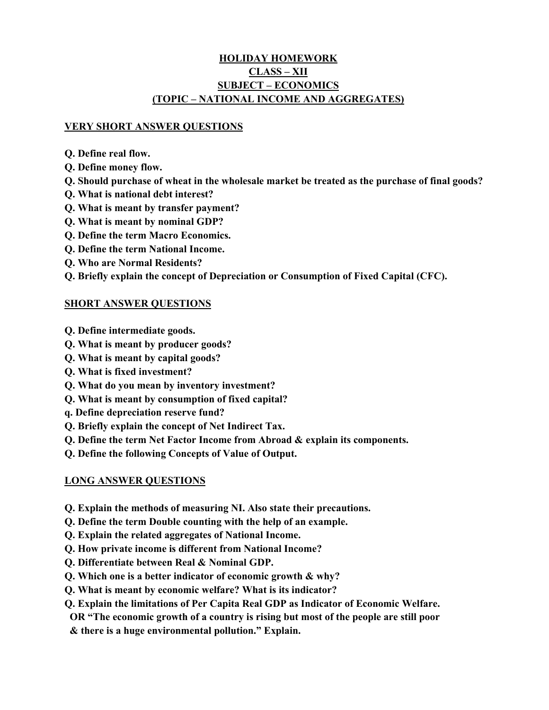# **HOLIDAY HOMEWORK CLASS – XII SUBJECT – ECONOMICS (TOPIC – NATIONAL INCOME AND AGGREGATES)**

#### **VERY SHORT ANSWER QUESTIONS**

- **Q. Define real flow.**
- **Q. Define money flow.**
- **Q. Should purchase of wheat in the wholesale market be treated as the purchase of final goods?**
- **Q. What is national debt interest?**
- **Q. What is meant by transfer payment?**
- **Q. What is meant by nominal GDP?**
- **Q. Define the term Macro Economics.**
- **Q. Define the term National Income.**
- **Q. Who are Normal Residents?**
- **Q. Briefly explain the concept of Depreciation or Consumption of Fixed Capital (CFC).**

### **SHORT ANSWER QUESTIONS**

- **Q. Define intermediate goods.**
- **Q. What is meant by producer goods?**
- **Q. What is meant by capital goods?**
- **Q. What is fixed investment?**
- **Q. What do you mean by inventory investment?**
- **Q. What is meant by consumption of fixed capital?**
- **q. Define depreciation reserve fund?**
- **Q. Briefly explain the concept of Net Indirect Tax.**
- **Q. Define the term Net Factor Income from Abroad & explain its components.**
- **Q. Define the following Concepts of Value of Output.**

## **LONG ANSWER QUESTIONS**

- **Q. Explain the methods of measuring NI. Also state their precautions.**
- **Q. Define the term Double counting with the help of an example.**
- **Q. Explain the related aggregates of National Income.**
- **Q. How private income is different from National Income?**
- **Q. Differentiate between Real & Nominal GDP.**
- **Q. Which one is a better indicator of economic growth & why?**
- **Q. What is meant by economic welfare? What is its indicator?**
- **Q. Explain the limitations of Per Capita Real GDP as Indicator of Economic Welfare.**
- **OR "The economic growth of a country is rising but most of the people are still poor**
- **& there is a huge environmental pollution." Explain.**